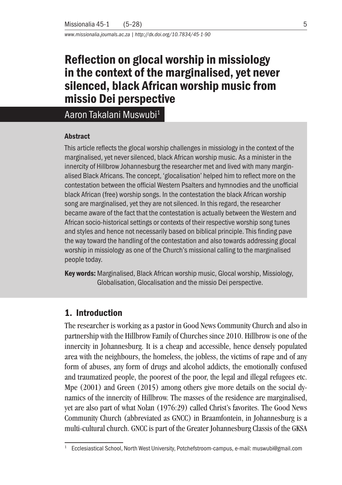*www.missionalia.journals.ac.za | http://dx.doi.org/10.7834/45-1-90*

# Reflection on glocal worship in missiology in the context of the marginalised, yet never silenced, black African worship music from missio Dei perspective

Aaron Takalani Muswubi1

#### **Abstract**

This article reflects the glocal worship challenges in missiology in the context of the marginalised, yet never silenced, black African worship music. As a minister in the innercity of Hillbrow Johannesburg the researcher met and lived with many marginalised Black Africans. The concept, 'glocalisation' helped him to reflect more on the contestation between the official Western Psalters and hymnodies and the unofficial black African (free) worship songs. In the contestation the black African worship song are marginalised, yet they are not silenced. In this regard, the researcher became aware of the fact that the contestation is actually between the Western and African socio-historical settings or contexts of their respective worship song tunes and styles and hence not necessarily based on biblical principle. This finding pave the way toward the handling of the contestation and also towards addressing glocal worship in missiology as one of the Church's missional calling to the marginalised people today.

Key words: Marginalised, Black African worship music, Glocal worship, Missiology, Globalisation, Glocalisation and the missio Dei perspective.

# 1. Introduction

The researcher is working as a pastor in Good News Community Church and also in partnership with the Hillbrow Family of Churches since 2010. Hillbrow is one of the innercity in Johannesburg. It is a cheap and accessible, hence densely populated area with the neighbours, the homeless, the jobless, the victims of rape and of any form of abuses, any form of drugs and alcohol addicts, the emotionally confused and traumatized people, the poorest of the poor, the legal and illegal refugees etc. Mpe (2001) and Green (2015) among others give more details on the social dynamics of the innercity of Hillbrow. The masses of the residence are marginalised, yet are also part of what Nolan (1976:29) called Christ's favorites. The Good News Community Church (abbreviated as GNCC) in Braamfontein, in Johannesburg is a multi-cultural church. GNCC is part of the Greater Johannesburg Classis of the GKSA

<sup>1</sup> Ecclesiastical School, North West University, Potchefstroom-campus, e-mail: muswubi@gmail.com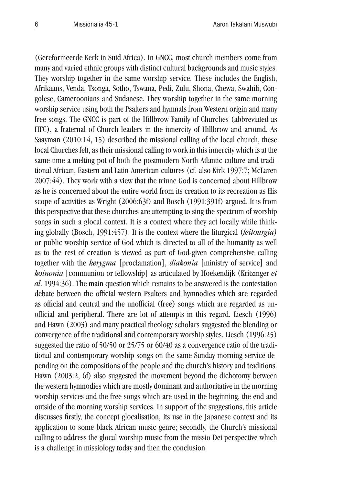(Gereformeerde Kerk in Suid Africa). In GNCC, most church members come from many and varied ethnic groups with distinct cultural backgrounds and music styles. They worship together in the same worship service. These includes the English, Afrikaans, Venda, Tsonga, Sotho, Tswana, Pedi, Zulu, Shona, Chewa, Swahili, Congolese, Cameroonians and Sudanese. They worship together in the same morning worship service using both the Psalters and hymnals from Western origin and many free songs. The GNCC is part of the Hillbrow Family of Churches (abbreviated as HFC), a fraternal of Church leaders in the innercity of Hillbrow and around. As Saayman (2010:14, 15) described the missional calling of the local church, these local Churches felt, as their missional calling to work in this innercity which is at the same time a melting pot of both the postmodern North Atlantic culture and traditional African, Eastern and Latin-American cultures (cf. also Kirk 1997:7; McLaren 2007:44). They work with a view that the triune God is concerned about Hillbrow as he is concerned about the entire world from its creation to its recreation as His scope of activities as Wright (2006:63f) and Bosch (1991:391f) argued. It is from this perspective that these churches are attempting to sing the spectrum of worship songs in such a glocal context. It is a context where they act locally while thinking globally (Bosch, 1991:457). It is the context where the liturgical (*leitourgia)* or public worship service of God which is directed to all of the humanity as well as to the rest of creation is viewed as part of God-given comprehensive calling together with the *kerygma* [proclamation], *diakonia* [ministry of service] and *koinonia* [communion or fellowship] as articulated by Hoekendijk (Kritzinger *et al*. 1994:36). The main question which remains to be answered is the contestation debate between the official western Psalters and hymnodies which are regarded as official and central and the unofficial (free) songs which are regarded as unofficial and peripheral. There are lot of attempts in this regard. Liesch (1996) and Hawn (2003) and many practical theology scholars suggested the blending or convergence of the traditional and contemporary worship styles. Liesch (1996:25) suggested the ratio of 50/50 or 25/75 or 60/40 as a convergence ratio of the traditional and contemporary worship songs on the same Sunday morning service depending on the compositions of the people and the church's history and traditions. Hawn (2003:2, 6f) also suggested the movement beyond the dichotomy between the western hymnodies which are mostly dominant and authoritative in the morning worship services and the free songs which are used in the beginning, the end and outside of the morning worship services. In support of the suggestions, this article discusses firstly, the concept glocalisation, its use in the Japanese context and its application to some black African music genre; secondly, the Church's missional calling to address the glocal worship music from the missio Dei perspective which is a challenge in missiology today and then the conclusion.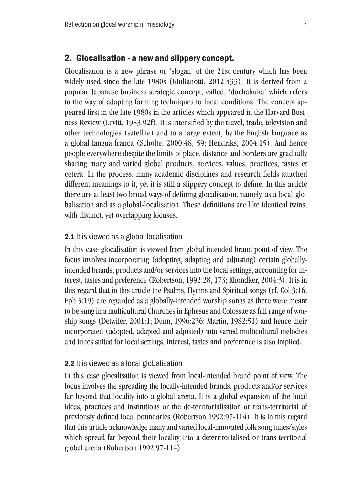### 2. Glocalisation - a new and slippery concept.

Glocalisation is a new phrase or 'slogan' of the 21st century which has been widely used since the late 1980s (Giulianotti, 2012:433). It is derived from a popular Japanese business strategic concept, called, 'dochakuka' which refers to the way of adapting farming techniques to local conditions. The concept appeared first in the late 1980s in the articles which appeared in the Harvard Business Review (Levitt, 1983:92f). It is intensified by the travel, trade, television and other technologies (satellite) and to a large extent, by the English language as a global langua franca (Scholte, 2000:48, 59; Hendriks, 2004:15). And hence people everywhere despite the limits of place, distance and borders are gradually sharing many and varied global products, services, values, practices, tastes et cetera. In the process, many academic disciplines and research fields attached different meanings to it, yet it is still a slippery concept to define. In this article there are at least two broad ways of defining glocalisation, namely, as a local-globalisation and as a global-localisation. These definitions are like identical twins, with distinct, yet overlapping focuses.

#### 2.1 It is viewed as a global localisation

In this case glocalisation is viewed from global-intended brand point of view. The focus involves incorporating (adopting, adapting and adjusting) certain globallyintended brands, products and/or services into the local settings, accounting for interest, tastes and preference (Robertson, 1992:28, 173; Khondker, 2004:3). It is in this regard that in this article the Psalms, Hymns and Spiritual songs (cf. Col.3:16; Eph.5:19) are regarded as a globally-intended worship songs as there were meant to be sung in a multicultural Churches in Ephesus and Colossae as full range of worship songs (Detwiler, 2001:1; Dunn, 1996:236; Martin, 1982:51) and hence their incorporated (adopted, adapted and adjusted) into varied multicultural melodies and tunes suited for local settings, interest, tastes and preference is also implied.

#### 2.2 It is viewed as a local globalisation

In this case glocalisation is viewed from local-intended brand point of view. The focus involves the spreading the locally-intended brands, products and/or services far beyond that locality into a global arena. It is a global expansion of the local ideas, practices and institutions or the de-territorialisation or trans-territorial of previously defined local boundaries (Robertson 1992:97-114). It is in this regard that this article acknowledge many and varied local-innovated folk song tunes/styles which spread far beyond their locality into a deterritorialised or trans-territorial global arena (Robertson 1992:97-114)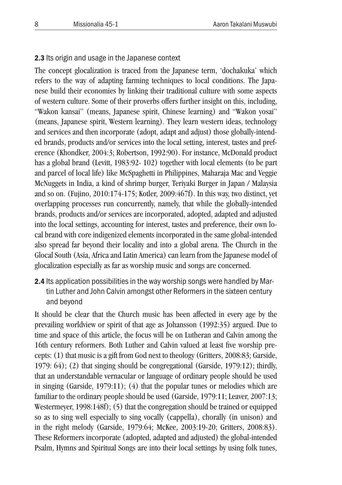#### 2.3 Its origin and usage in the Japanese context

The concept glocalization is traced from the Japanese term, 'dochakuka' which refers to the way of adapting farming techniques to local conditions. The Japanese build their economies by linking their traditional culture with some aspects of western culture. Some of their proverbs offers further insight on this, including, "Wakon kansai" (means, Japanese spirit, Chinese learning) and "Wakon yosai" (means, Japanese spirit, Western learning). They learn western ideas, technology and services and then incorporate (adopt, adapt and adjust) those globally-intended brands, products and/or services into the local setting, interest, tastes and preference (Khondker, 2004:3; Robertson, 1992:90). For instance, McDonald product has a global brand (Levitt, 1983:92- 102) together with local elements (to be part and parcel of local life) like McSpaghetti in Philippines, Maharaja Mac and Veggie McNuggets in India, a kind of shrimp burger, Teriyaki Burger in Japan / Malaysia and so on. (Fujino, 2010:174-175; Kotler, 2009:467f). In this way, two distinct, yet overlapping processes run concurrently, namely, that while the globally-intended brands, products and/or services are incorporated, adopted, adapted and adjusted into the local settings, accounting for interest, tastes and preference, their own local brand with core indigenized elements incorporated in the same global-intended also spread far beyond their locality and into a global arena. The Church in the Glocal South (Asia, Africa and Latin America) can learn from the Japanese model of glocalization especially as far as worship music and songs are concerned.

2.4 Its application possibilities in the way worship songs were handled by Martin Luther and John Calvin amongst other Reformers in the sixteen century and beyond

It should be clear that the Church music has been affected in every age by the prevailing worldview or spirit of that age as Johansson (1992:35) argued. Due to time and space of this article, the focus will be on Lutheran and Calvin among the 16th century reformers. Both Luther and Calvin valued at least five worship precepts: (1) that music is a gift from God next to theology (Gritters, 2008:83; Garside, 1979: 64); (2) that singing should be congregational (Garside, 1979:12); thirdly, that an understandable vernacular or language of ordinary people should be used in singing (Garside, 1979:11); (4) that the popular tunes or melodies which are familiar to the ordinary people should be used (Garside, 1979:11; Leaver, 2007:13; Westermeyer, 1998:148f); (5) that the congregation should be trained or equipped so as to sing well especially to sing vocally (cappella), chorally (in unison) and in the right melody (Garside, 1979:64; McKee, 2003:19-20; Gritters, 2008:83). These Reformers incorporate (adopted, adapted and adjusted) the global-intended Psalm, Hymns and Spiritual Songs are into their local settings by using folk tunes,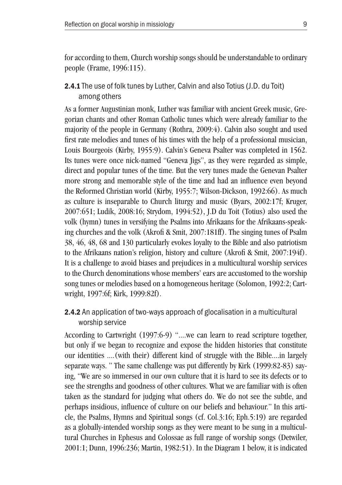for according to them, Church worship songs should be understandable to ordinary people (Frame, 1996:115).

### 2.4.1 The use of folk tunes by Luther, Calvin and also Totius (J.D. du Toit) among others

As a former Augustinian monk, Luther was familiar with ancient Greek music, Gregorian chants and other Roman Catholic tunes which were already familiar to the majority of the people in Germany (Rothra, 2009:4). Calvin also sought and used first rate melodies and tunes of his times with the help of a professional musician, Louis Bourgeois (Kirby, 1955:9). Calvin's Geneva Psalter was completed in 1562. Its tunes were once nick-named "Geneva Jigs", as they were regarded as simple, direct and popular tunes of the time. But the very tunes made the Genevan Psalter more strong and memorable style of the time and had an influence even beyond the Reformed Christian world (Kirby, 1955:7; Wilson-Dickson, 1992:66). As much as culture is inseparable to Church liturgy and music (Byars, 2002:17f; Kruger, 2007:651; Ludik, 2008:16; Strydom, 1994:52), J.D du Toit (Totius) also used the volk (hymn) tunes in versifying the Psalms into Afrikaans for the Afrikaans-speaking churches and the volk (Akrofi & Smit, 2007:181ff). The singing tunes of Psalm 38, 46, 48, 68 and 130 particularly evokes loyalty to the Bible and also patriotism to the Afrikaans nation's religion, history and culture (Akrofi & Smit, 2007:194f). It is a challenge to avoid biases and prejudices in a multicultural worship services to the Church denominations whose members' ears are accustomed to the worship song tunes or melodies based on a homogeneous heritage (Solomon, 1992:2; Cartwright, 1997:6f; Kirk, 1999:82f).

### 2.4.2 An application of two-ways approach of glocalisation in a multicultural worship service

According to Cartwright (1997:6-9) "....we can learn to read scripture together, but only if we began to recognize and expose the hidden histories that constitute our identities ....(with their) different kind of struggle with the Bible....in largely separate ways. " The same challenge was put differently by Kirk (1999:82-83) saying, "We are so immersed in our own culture that it is hard to see its defects or to see the strengths and goodness of other cultures. What we are familiar with is often taken as the standard for judging what others do. We do not see the subtle, and perhaps insidious, influence of culture on our beliefs and behaviour." In this article, the Psalms, Hymns and Spiritual songs (cf. Col.3:16; Eph.5:19) are regarded as a globally-intended worship songs as they were meant to be sung in a multicultural Churches in Ephesus and Colossae as full range of worship songs (Detwiler, 2001:1; Dunn, 1996:236; Martin, 1982:51). In the Diagram 1 below, it is indicated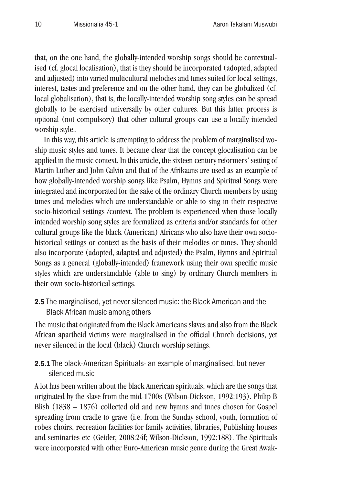that, on the one hand, the globally-intended worship songs should be contextualised (cf. glocal localisation), that is they should be incorporated (adopted, adapted and adjusted) into varied multicultural melodies and tunes suited for local settings, interest, tastes and preference and on the other hand, they can be globalized (cf. local globalisation), that is, the locally-intended worship song styles can be spread globally to be exercised universally by other cultures. But this latter process is optional (not compulsory) that other cultural groups can use a locally intended worship style..

In this way, this article is attempting to address the problem of marginalised woship music styles and tunes. It became clear that the concept glocalisation can be applied in the music context. In this article, the sixteen century reformers' setting of Martin Luther and John Calvin and that of the Afrikaans are used as an example of how globally-intended worship songs like Psalm, Hymns and Spiritual Songs were integrated and incorporated for the sake of the ordinary Church members by using tunes and melodies which are understandable or able to sing in their respective socio-historical settings /context. The problem is experienced when those locally intended worship song styles are formalized as criteria and/or standards for other cultural groups like the black (American) Africans who also have their own sociohistorical settings or context as the basis of their melodies or tunes. They should also incorporate (adopted, adapted and adjusted) the Psalm, Hymns and Spiritual Songs as a general (globally-intended) framework using their own specific music styles which are understandable (able to sing) by ordinary Church members in their own socio-historical settings.

2.5 The marginalised, yet never silenced music: the Black American and the Black African music among others

The music that originated from the Black Americans slaves and also from the Black African apartheid victims were marginalised in the official Church decisions, yet never silenced in the local (black) Church worship settings.

# **2.5.1** The black-American Spirituals- an example of marginalised, but never silenced music

A lot has been written about the black American spirituals, which are the songs that originated by the slave from the mid-1700s (Wilson-Dickson, 1992:193). Philip B Blish (1838 – 1876) collected old and new hymns and tunes chosen for Gospel spreading from cradle to grave (i.e. from the Sunday school, youth, formation of robes choirs, recreation facilities for family activities, libraries, Publishing houses and seminaries etc (Geider, 2008:24f; Wilson-Dickson, 1992:188). The Spirituals were incorporated with other Euro-American music genre during the Great Awak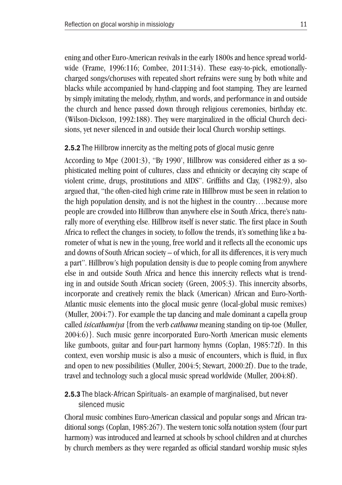ening and other Euro-American revivals in the early 1800s and hence spread worldwide (Frame, 1996:116; Combee, 2011:314). These easy-to-pick, emotionallycharged songs/choruses with repeated short refrains were sung by both white and blacks while accompanied by hand-clapping and foot stamping. They are learned by simply imitating the melody, rhythm, and words, and performance in and outside the church and hence passed down through religious ceremonies, birthday etc. (Wilson-Dickson, 1992:188). They were marginalized in the official Church decisions, yet never silenced in and outside their local Church worship settings.

### 2.5.2 The Hillbrow innercity as the melting pots of glocal music genre

According to Mpe (2001:3), "By 1990', Hillbrow was considered either as a sophisticated melting point of cultures, class and ethnicity or decaying city scape of violent crime, drugs, prostitutions and AIDS". Griffiths and Clay, (1982:9), also argued that, "the often-cited high crime rate in Hillbrow must be seen in relation to the high population density, and is not the highest in the country….because more people are crowded into Hillbrow than anywhere else in South Africa, there's naturally more of everything else. Hillbrow itself is never static. The first place in South Africa to reflect the changes in society, to follow the trends, it's something like a barometer of what is new in the young, free world and it reflects all the economic ups and downs of South African society – of which, for all its differences, it is very much a part". Hillbrow's high population density is due to people coming from anywhere else in and outside South Africa and hence this innercity reflects what is trending in and outside South African society (Green, 2005:3). This innercity absorbs, incorporate and creatively remix the black (American) African and Euro-North-Atlantic music elements into the glocal music genre (local-global music remixes) (Muller, 2004:7). For example the tap dancing and male dominant a capella group called *isicathamiya* {from the verb *cathama* meaning standing on tip-toe (Muller, 2004:6)}. Such music genre incorporated Euro-North American music elements like gumboots, guitar and four-part harmony hymns (Coplan, 1985:72f). In this context, even worship music is also a music of encounters, which is fluid, in flux and open to new possibilities (Muller, 2004:5; Stewart, 2000:2f). Due to the trade, travel and technology such a glocal music spread worldwide (Muller, 2004:8f).

# 2.5.3 The black-African Spirituals- an example of marginalised, but never silenced music

Choral music combines Euro-American classical and popular songs and African traditional songs (Coplan, 1985:267). The western tonic solfa notation system (four part harmony) was introduced and learned at schools by school children and at churches by church members as they were regarded as official standard worship music styles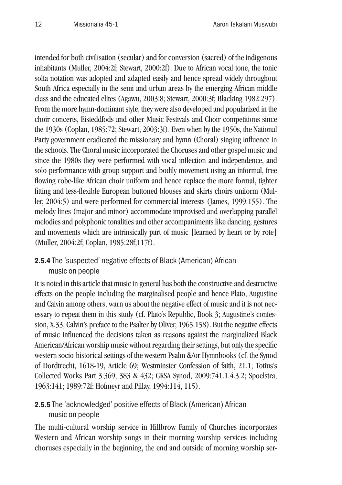intended for both civilisation (secular) and for conversion (sacred) of the indigenous inhabitants (Muller, 2004:2f; Stewart, 2000:2f). Due to African vocal tone, the tonic solfa notation was adopted and adapted easily and hence spread widely throughout South Africa especially in the semi and urban areas by the emerging African middle class and the educated elites (Agawu, 2003:8; Stewart, 2000:3f; Blacking 1982:297). From the more hymn-dominant style, they were also developed and popularized in the choir concerts, Eisteddfods and other Music Festivals and Choir competitions since the 1930s (Coplan, 1985:72; Stewart, 2003:3f). Even when by the 1950s, the National Party government eradicated the missionary and hymn (Choral) singing influence in the schools. The Choral music incorporated the Choruses and other gospel music and since the 1980s they were performed with vocal inflection and independence, and solo performance with group support and bodily movement using an informal, free flowing robe-like African choir uniform and hence replace the more formal, tighter fitting and less-flexible European buttoned blouses and skirts choirs uniform (Muller, 2004:5) and were performed for commercial interests (James, 1999:155). The melody lines (major and minor) accommodate improvised and overlapping parallel melodies and polyphonic tonalities and other accompaniments like dancing, gestures and movements which are intrinsically part of music [learned by heart or by rote] (Muller, 2004:2f; Coplan, 1985:28f;117f).

# 2.5.4 The 'suspected' negative effects of Black (American) African music on people

It is noted in this article that music in general has both the constructive and destructive effects on the people including the marginalised people and hence Plato, Augustine and Calvin among others, warn us about the negative effect of music and it is not necessary to repeat them in this study (cf. Plato's Republic, Book 3; Augustine's confession, X.33; Calvin's preface to the Psalter by Oliver, 1965:158). But the negative effects of music influenced the decisions taken as reasons against the marginalized Black American/African worship music without regarding their settings, but only the specific western socio-historical settings of the western Psalm &/or Hymnbooks (cf. the Synod of Dordtrecht, 1618-19, Article 69; Westminster Confession of faith, 21.1; Totius's Collected Works Part 3:369, 383 & 432; GKSA Synod, 2009:741.1.4.3.2; Spoelstra, 1963:141; 1989:72f; Hofmeyr and Pillay, 1994:114, 115).

# 2.5.5 The 'acknowledged' positive effects of Black (American) African music on people

The multi-cultural worship service in Hillbrow Family of Churches incorporates Western and African worship songs in their morning worship services including choruses especially in the beginning, the end and outside of morning worship ser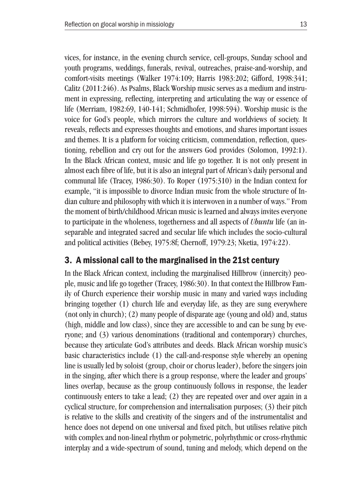vices, for instance, in the evening church service, cell-groups, Sunday school and youth programs, weddings, funerals, revival, outreaches, praise-and-worship, and comfort-visits meetings (Walker 1974:109; Harris 1983:202; Gifford, 1998:341; Calitz (2011:246). As Psalms, Black Worship music serves as a medium and instrument in expressing, reflecting, interpreting and articulating the way or essence of life (Merriam, 1982:69, 140-141; Schmidhofer, 1998:594). Worship music is the voice for God's people, which mirrors the culture and worldviews of society. It reveals, reflects and expresses thoughts and emotions, and shares important issues and themes. It is a platform for voicing criticism, commendation, reflection, questioning, rebellion and cry out for the answers God provides (Solomon, 1992:1). In the Black African context, music and life go together. It is not only present in almost each fibre of life, but it is also an integral part of African's daily personal and communal life (Tracey, 1986:30). To Roper (1975:310) in the Indian context for example, "it is impossible to divorce Indian music from the whole structure of Indian culture and philosophy with which it is interwoven in a number of ways." From the moment of birth/childhood African music is learned and always invites everyone to participate in the wholeness, togetherness and all aspects of *Ubuntu* life (an inseparable and integrated sacred and secular life which includes the socio-cultural and political activities (Bebey, 1975:8f; Chernoff, 1979:23; Nketia, 1974:22).

### 3. A missional call to the marginalised in the 21st century

In the Black African context, including the marginalised Hillbrow (innercity) people, music and life go together (Tracey, 1986:30). In that context the Hillbrow Family of Church experience their worship music in many and varied ways including bringing together (1) church life and everyday life, as they are sung everywhere (not only in church); (2) many people of disparate age (young and old) and, status (high, middle and low class), since they are accessible to and can be sung by everyone; and (3) various denominations (traditional and contemporary) churches, because they articulate God's attributes and deeds. Black African worship music's basic characteristics include (1) the call-and-response style whereby an opening line is usually led by soloist (group, choir or chorus leader), before the singers join in the singing, after which there is a group response, where the leader and groups' lines overlap, because as the group continuously follows in response, the leader continuously enters to take a lead; (2) they are repeated over and over again in a cyclical structure, for comprehension and internalisation purposes; (3) their pitch is relative to the skills and creativity of the singers and of the instrumentalist and hence does not depend on one universal and fixed pitch, but utilises relative pitch with complex and non-lineal rhythm or polymetric, polyrhythmic or cross-rhythmic interplay and a wide-spectrum of sound, tuning and melody, which depend on the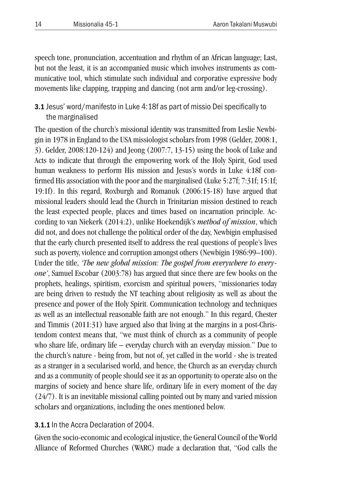speech tone, pronunciation, accentuation and rhythm of an African language; Last, but not the least, it is an accompanied music which involves instruments as communicative tool, which stimulate such individual and corporative expressive body movements like clapping, trapping and dancing (not arm and/or leg-crossing).

# 3.1 Jesus' word/manifesto in Luke 4:18f as part of missio Dei specifically to the marginalised

The question of the church's missional identity was transmitted from Leslie Newbigin in 1978 in England to the USA missiologist scholars from 1998 (Gelder, 2008:1, 3). Gelder, 2008:120-124) and Jeong (2007:7, 13-15) using the book of Luke and Acts to indicate that through the empowering work of the Holy Spirit, God used human weakness to perform His mission and Jesus's words in Luke 4:18f confirmed His association with the poor and the marginalised (Luke 5:27f; 7:31f; 15:1f; 19:1f). In this regard, Roxburgh and Romanuk (2006:15-18) have argued that missional leaders should lead the Church in Trinitarian mission destined to reach the least expected people, places and times based on incarnation principle. According to van Niekerk (2014:2), unlike Hoekendijk's *method of mission*, which did not, and does not challenge the political order of the day, Newbigin emphasised that the early church presented itself to address the real questions of people's lives such as poverty, violence and corruption amongst others (Newbigin 1986:99–100). Under the title, *'The new global mission: The gospel from everywhere to everyone'*, Samuel Escobar (2003:78) has argued that since there are few books on the prophets, healings, spiritism, exorcism and spiritual powers, "missionaries today are being driven to restudy the NT teaching about religiosity as well as about the presence and power of the Holy Spirit. Communication technology and techniques as well as an intellectual reasonable faith are not enough." In this regard, Chester and Timmis (2011:31) have argued also that living at the margins in a post-Christendom context means that, "we must think of church as a community of people who share life, ordinary life – everyday church with an everyday mission." Due to the church's nature - being from, but not of, yet called in the world - she is treated as a stranger in a secularised world, and hence, the Church as an everyday church and as a community of people should see it as an opportunity to operate also on the margins of society and hence share life, ordinary life in every moment of the day (24/7). It is an inevitable missional calling pointed out by many and varied mission scholars and organizations, including the ones mentioned below.

# 3.1.1 In the Accra Declaration of 2004.

Given the socio-economic and ecological injustice, the General Council of the World Alliance of Reformed Churches (WARC) made a declaration that, "God calls the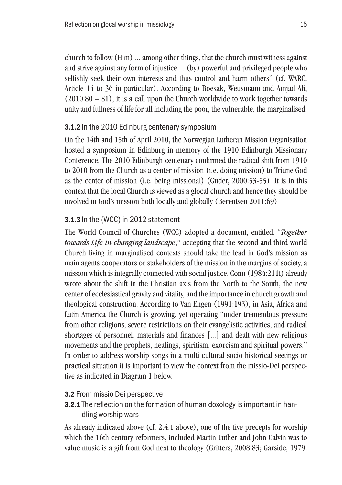church to follow (Him).... among other things, that the church must witness against and strive against any form of injustice.... (by) powerful and privileged people who selfishly seek their own interests and thus control and harm others" (cf. WARC, Article 14 to 36 in particular). According to Boesak, Weusmann and Amjad-Ali,  $(2010:80 - 81)$ , it is a call upon the Church worldwide to work together towards unity and fullness of life for all including the poor, the vulnerable, the marginalised.

### **3.1.2** In the 2010 Edinburg centenary symposium

On the 14th and 15th of April 2010, the Norwegian Lutheran Mission Organisation hosted a symposium in Edinburg in memory of the 1910 Edinburgh Missionary Conference. The 2010 Edinburgh centenary confirmed the radical shift from 1910 to 2010 from the Church as a center of mission (i.e. doing mission) to Triune God as the center of mission (i.e. being missional) (Guder, 2000:53-55). It is in this context that the local Church is viewed as a glocal church and hence they should be involved in God's mission both locally and globally (Berentsen 2011:69)

# **3.1.3** In the (WCC) in 2012 statement

The World Council of Churches (WCC) adopted a document, entitled, "*Together towards Life in changing landscape*," accepting that the second and third world Church living in marginalised contexts should take the lead in God's mission as main agents cooperators or stakeholders of the mission in the margins of society, a mission which is integrally connected with social justice. Conn (1984:211f) already wrote about the shift in the Christian axis from the North to the South, the new center of ecclesiastical gravity and vitality, and the importance in church growth and theological construction. According to Van Engen (1991:193), in Asia, Africa and Latin America the Church is growing, yet operating "under tremendous pressure from other religions, severe restrictions on their evangelistic activities, and radical shortages of personnel, materials and finances [...] and dealt with new religious movements and the prophets, healings, spiritism, exorcism and spiritual powers." In order to address worship songs in a multi-cultural socio-historical seetings or practical situation it is important to view the context from the missio-Dei perspective as indicated in Diagram 1 below.

### 3.2 From missio Dei perspective

**3.2.1** The reflection on the formation of human doxology is important in handling worship wars

As already indicated above (cf. 2.4.1 above), one of the five precepts for worship which the 16th century reformers, included Martin Luther and John Calvin was to value music is a gift from God next to theology (Gritters, 2008:83; Garside, 1979: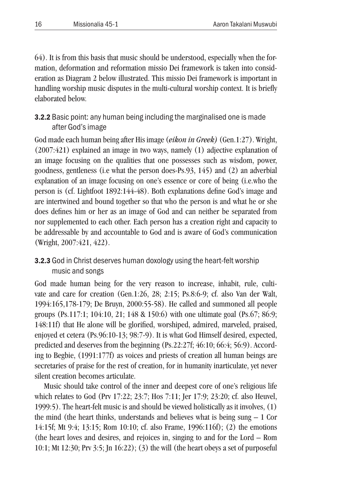64). It is from this basis that music should be understood, especially when the formation, deformation and reformation missio Dei framework is taken into consideration as Diagram 2 below illustrated. This missio Dei framework is important in handling worship music disputes in the multi-cultural worship context. It is briefly elaborated below.

# 3.2.2 Basic point: any human being including the marginalised one is made after God's image

God made each human being after His image (*eikon in Greek)* (Gen.1:27). Wright, (2007:421) explained an image in two ways, namely (1) adjective explanation of an image focusing on the qualities that one possesses such as wisdom, power, goodness, gentleness (i.e what the person does-Ps.93, 145) and (2) an adverbial explanation of an image focusing on one's essence or core of being (i.e.who the person is (cf. Lightfoot 1892:144-48). Both explanations define God's image and are intertwined and bound together so that who the person is and what he or she does defines him or her as an image of God and can neither be separated from nor supplemented to each other. Each person has a creation right and capacity to be addressable by and accountable to God and is aware of God's communication (Wright, 2007:421, 422).

# **3.2.3** God in Christ deserves human doxology using the heart-felt worship music and songs

God made human being for the very reason to increase, inhabit, rule, cultivate and care for creation (Gen.1:26, 28; 2:15; Ps.8:6-9; cf. also Van der Walt, 1994:165,178-179; De Bruyn, 2000:55-58). He called and summoned all people groups (Ps.117:1; 104:10, 21; 148 & 150:6) with one ultimate goal (Ps.67; 86:9; 148:11f) that He alone will be glorified, worshiped, admired, marveled, praised, enjoyed et cetera (Ps.96:10-13; 98:7-9). It is what God Himself desired, expected, predicted and deserves from the beginning (Ps.22:27f; 46:10; 66:4; 56:9). According to Begbie, (1991:177f) as voices and priests of creation all human beings are secretaries of praise for the rest of creation, for in humanity inarticulate, yet never silent creation becomes articulate.

Music should take control of the inner and deepest core of one's religious life which relates to God (Prv 17:22; 23:7; Hos 7:11; Jer 17:9; 23:20; cf. also Heuvel, 1999:5). The heart-felt music is and should be viewed holistically as it involves, (1) the mind (the heart thinks, understands and believes what is being sung  $-1$  Cor 14:15f; Mt 9:4; 13:15; Rom 10:10; cf. also Frame, 1996:116f); (2) the emotions (the heart loves and desires, and rejoices in, singing to and for the Lord – Rom 10:1; Mt 12:30; Prv 3:5; Jn 16:22); (3) the will (the heart obeys a set of purposeful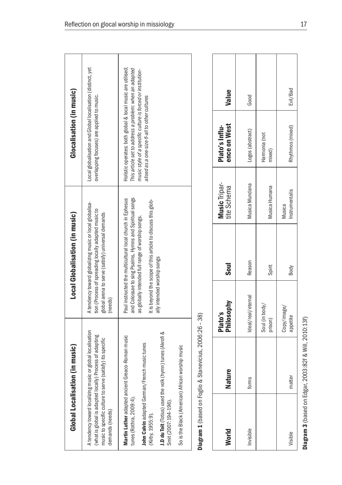|                                                                    | Global Localisation (in music)                                                                                                                                                                                     |                             | Local Globalisation (in music)                                                                                                                                                                                                           |                              | Glocalisation (in music)                                                                                                                                                                                                             |          |  |
|--------------------------------------------------------------------|--------------------------------------------------------------------------------------------------------------------------------------------------------------------------------------------------------------------|-----------------------------|------------------------------------------------------------------------------------------------------------------------------------------------------------------------------------------------------------------------------------------|------------------------------|--------------------------------------------------------------------------------------------------------------------------------------------------------------------------------------------------------------------------------------|----------|--|
| demands (needs)                                                    | A tendency toward localizing music or global localisation<br>(what is global is adapted locally) Process of adapting<br>music to specific culture to serve (satisfy) its specific                                  | (needs)                     | A tendency toward globalizing music or local globalisa-<br>tion (Process of spreading locally adapted music to<br>global arena to serve (satisfy) universal demands                                                                      |                              | Local globalisation and Global localisation (distinct, yet<br>overlapping focuses) are applied to music.                                                                                                                             |          |  |
| tunes (Rothra, 2009:4).<br>Smit (2007:194-196).<br>(Kirby, 1955:9) | J.D du Toit (Totius) used the volk (hymn) tunes (Akrofi &<br>Martin Luther adapted ancient Greaco-Roman music<br>John Calvin adapted German/French music tunes<br>So is the Black (American) African worship music | ally intended worship songs | and Colossae to sing Psalms, Hymns and Spiritual songs<br>Paul instructed the multicultural local church in Ephesus<br>It is beyond the scope of this article to discuss this glob-<br>as globally intended full range of worship songs. |                              | Holistic operates: both global & local music are utilised;<br>This article set to address a problem: when an adapted<br>music style of a specific culture is forced or institution-<br>alised as a one-size-fi-all to other cultures |          |  |
|                                                                    | Diagram 1 (based on Foglio & Stanevicius, 2006:26 - 38)                                                                                                                                                            |                             |                                                                                                                                                                                                                                          |                              |                                                                                                                                                                                                                                      |          |  |
| World                                                              | <b>Nature</b>                                                                                                                                                                                                      | Philosophy<br>Plato's       | <b>Soul</b>                                                                                                                                                                                                                              | Music Tripar-<br>tite Schema | ence on West<br>Plato's Influ-                                                                                                                                                                                                       | Value    |  |
| Invisible                                                          | forms                                                                                                                                                                                                              | deal/real/eternal           | Reason                                                                                                                                                                                                                                   | Musica Mundana               | Logos (abstract)                                                                                                                                                                                                                     | Good     |  |
|                                                                    |                                                                                                                                                                                                                    | Soul (in body/<br>prison)   | Spirit                                                                                                                                                                                                                                   | Musica Humana                | Harmonia (not<br>mixed)                                                                                                                                                                                                              |          |  |
| Visible                                                            | matter                                                                                                                                                                                                             | Copy/image/<br>appetite     | Body                                                                                                                                                                                                                                     | Instrumentalis<br>Musica     | Rhythmos (mixed)                                                                                                                                                                                                                     | Evil/Bad |  |
|                                                                    | Diagram 3 (based on Edgar, 2003:82f & Will, 2010:13f)                                                                                                                                                              |                             |                                                                                                                                                                                                                                          |                              |                                                                                                                                                                                                                                      |          |  |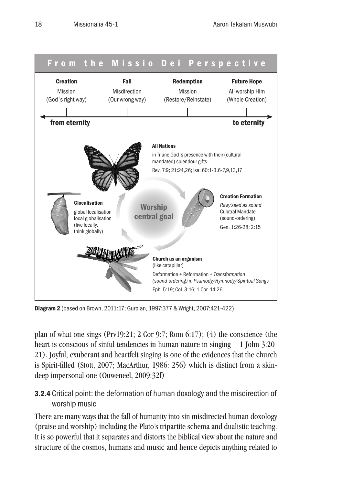

Diagram 2 (based on Brown, 2011:17; Guroian, 1997:377 & Wright, 2007:421-422)

plan of what one sings (Prv19:21; 2 Cor 9:7; Rom 6:17); (4) the conscience (the heart is conscious of sinful tendencies in human nature in singing  $-1$  John 3:20-21). Joyful, exuberant and heartfelt singing is one of the evidences that the church is Spirit-filled (Stott, 2007; MacArthur, 1986: 256) which is distinct from a skindeep impersonal one (Ouweneel, 2009:32f)

# 3.2.4 Critical point: the deformation of human doxology and the misdirection of worship music

There are many ways that the fall of humanity into sin misdirected human doxology (praise and worship) including the Plato's tripartite schema and dualistic teaching. It is so powerful that it separates and distorts the biblical view about the nature and structure of the cosmos, humans and music and hence depicts anything related to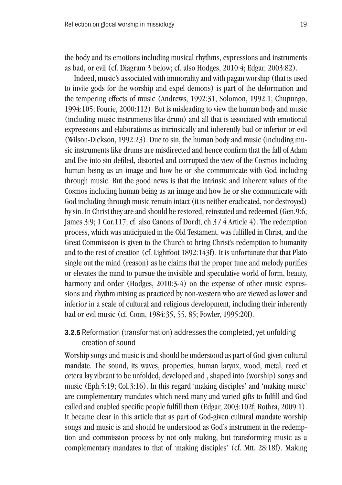the body and its emotions including musical rhythms, expressions and instruments as bad, or evil (cf. Diagram 3 below; cf. also Hodges, 2010:4; Edgar, 2003:82).

Indeed, music's associated with immorality and with pagan worship (that is used to invite gods for the worship and expel demons) is part of the deformation and the tempering effects of music (Andrews, 1992:31; Solomon, 1992:1; Chupungo, 1994:105; Fourie, 2000:112). But is misleading to view the human body and music (including music instruments like drum) and all that is associated with emotional expressions and elaborations as intrinsically and inherently bad or inferior or evil (Wilson-Dickson, 1992:23). Due to sin, the human body and music (including music instruments like drums are misdirected and hence confirm that the fall of Adam and Eve into sin defiled, distorted and corrupted the view of the Cosmos including human being as an image and how he or she communicate with God including through music. But the good news is that the intrinsic and inherent values of the Cosmos including human being as an image and how he or she communicate with God including through music remain intact (it is neither eradicated, nor destroyed) by sin. In Christ they are and should be restored, reinstated and redeemed (Gen.9:6; James 3:9; 1 Cor.117; cf. also Canons of Dordt, ch.3 / 4 Article 4). The redemption process, which was anticipated in the Old Testament, was fulfilled in Christ, and the Great Commission is given to the Church to bring Christ's redemption to humanity and to the rest of creation (cf. Lightfoot 1892:143f). It is unfortunate that that Plato single out the mind (reason) as he claims that the proper tune and melody purifies or elevates the mind to pursue the invisible and speculative world of form, beauty, harmony and order (Hodges, 2010:3-4) on the expense of other music expressions and rhythm mixing as practiced by non-western who are viewed as lower and inferior in a scale of cultural and religious development, including their inherently bad or evil music (cf. Conn, 1984:35, 55, 85; Fowler, 1995:20f).

# 3.2.5 Reformation (transformation) addresses the completed, yet unfolding creation of sound

Worship songs and music is and should be understood as part of God-given cultural mandate. The sound, its waves, properties, human larynx, wood, metal, reed et cetera lay vibrant to be unfolded, developed and , shaped into (worship) songs and music (Eph.5:19; Col.3:16). In this regard 'making disciples' and 'making music' are complementary mandates which need many and varied gifts to fulfill and God called and enabled specific people fulfill them (Edgar, 2003:102f; Rothra, 2009:1). It became clear in this article that as part of God-given cultural mandate worship songs and music is and should be understood as God's instrument in the redemption and commission process by not only making, but transforming music as a complementary mandates to that of 'making disciples' (cf. Mtt. 28:18f). Making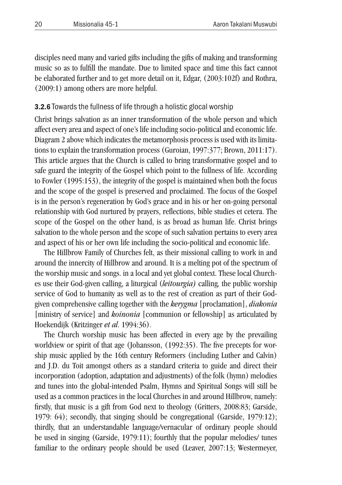disciples need many and varied gifts including the gifts of making and transforming music so as to fulfill the mandate. Due to limited space and time this fact cannot be elaborated further and to get more detail on it, Edgar, (2003:102f) and Rothra, (2009:1) among others are more helpful.

#### 3.2.6 Towards the fullness of life through a holistic glocal worship

Christ brings salvation as an inner transformation of the whole person and which affect every area and aspect of one's life including socio-political and economic life. Diagram 2 above which indicates the metamorphosis process is used with its limitations to explain the transformation process (Guroian, 1997:377; Brown, 2011:17). This article argues that the Church is called to bring transformative gospel and to safe guard the integrity of the Gospel which point to the fullness of life. According to Fowler (1995:153), the integrity of the gospel is maintained when both the focus and the scope of the gospel is preserved and proclaimed. The focus of the Gospel is in the person's regeneration by God's grace and in his or her on-going personal relationship with God nurtured by prayers, reflections, bible studies et cetera. The scope of the Gospel on the other hand, is as broad as human life. Christ brings salvation to the whole person and the scope of such salvation pertains to every area and aspect of his or her own life including the socio-political and economic life.

The Hillbrow Family of Churches felt, as their missional calling to work in and around the innercity of Hillbrow and around. It is a melting pot of the spectrum of the worship music and songs. in a local and yet global context. These local Churches use their God-given calling, a liturgical (*leitourgia)* calling*,* the public worship service of God to humanity as well as to the rest of creation as part of their Godgiven comprehensive calling together with the *kerygma* [proclamation], *diakonia*  [ministry of service] and *koinonia* [communion or fellowship] as articulated by Hoekendijk (Kritzinger *et al*. 1994:36).

The Church worship music has been affected in every age by the prevailing worldview or spirit of that age (Johansson, (1992:35). The five precepts for worship music applied by the 16th century Reformers (including Luther and Calvin) and J.D. du Toit amongst others as a standard criteria to guide and direct their incorporation (adoption, adaptation and adjustments) of the folk (hymn) melodies and tunes into the global-intended Psalm, Hymns and Spiritual Songs will still be used as a common practices in the local Churches in and around Hillbrow, namely: firstly, that music is a gift from God next to theology (Gritters, 2008:83; Garside, 1979: 64); secondly, that singing should be congregational (Garside, 1979:12); thirdly, that an understandable language/vernacular of ordinary people should be used in singing (Garside, 1979:11); fourthly that the popular melodies/ tunes familiar to the ordinary people should be used (Leaver, 2007:13; Westermeyer,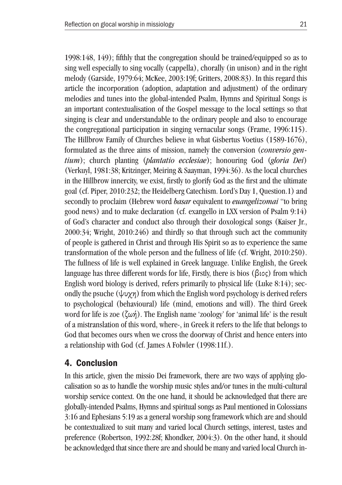1998:148, 149); fifthly that the congregation should be trained/equipped so as to sing well especially to sing vocally (cappella), chorally (in unison) and in the right melody (Garside, 1979:64; McKee, 2003:19f; Gritters, 2008:83). In this regard this article the incorporation (adoption, adaptation and adjustment) of the ordinary melodies and tunes into the global-intended Psalm, Hymns and Spiritual Songs is an important contextualisation of the Gospel message to the local settings so that singing is clear and understandable to the ordinary people and also to encourage the congregational participation in singing vernacular songs (Frame, 1996:115). The Hillbrow Family of Churches believe in what Gisbertus Voetius (1589-1676), formulated as the three aims of mission, namely the conversion (*conversio gentium*); church planting (*plantatio ecclesiae*); honouring God (*gloria Dei*) (Verkuyl, 1981:38; Kritzinger, Meiring & Saayman, 1994:36). As the local churches in the Hillbrow innercity, we exist, firstly to glorify God as the first and the ultimate goal (cf. Piper, 2010:232; the Heidelberg Catechism. Lord's Day 1, Question.1) and secondly to proclaim (Hebrew word *basar* equivalent to *euangelizomai* "to bring good news) and to make declaration (cf. exangello in LXX version of Psalm 9:14) of God's character and conduct also through their doxological songs (Kaiser Jr., 2000:34; Wright, 2010:246) and thirdly so that through such act the community of people is gathered in Christ and through His Spirit so as to experience the same transformation of the whole person and the fullness of life (cf. Wright, 2010:250). The fullness of life is well explained in Greek language. Unlike English, the Greek language has three different words for life, Firstly, there is bios (βιος) from which English word biology is derived, refers primarily to physical life (Luke 8:14); secondly the psuche  $(\psi \psi)$  from which the English word psychology is derived refers to psychological (behavioural) life (mind, emotions and will). The third Greek word for life is zoe (ζωή). The English name 'zoology' for 'animal life' is the result of a mistranslation of this word, where-, in Greek it refers to the life that belongs to God that becomes ours when we cross the doorway of Christ and hence enters into a relationship with God (cf. James A Folwler (1998:11f.).

### 4. Conclusion

In this article, given the missio Dei framework, there are two ways of applying glocalisation so as to handle the worship music styles and/or tunes in the multi-cultural worship service context. On the one hand, it should be acknowledged that there are globally-intended Psalms, Hymns and spiritual songs as Paul mentioned in Colossians 3:16 and Ephesians 5:19 as a general worship song framework which are and should be contextualized to suit many and varied local Church settings, interest, tastes and preference (Robertson, 1992:28f; Khondker, 2004:3). On the other hand, it should be acknowledged that since there are and should be many and varied local Church in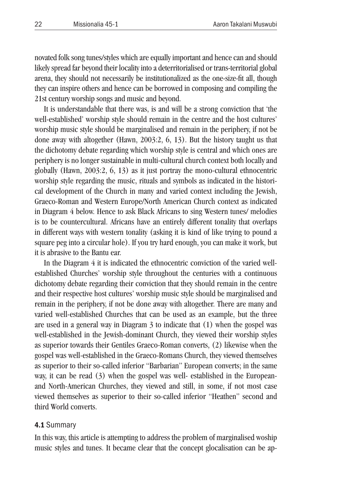novated folk song tunes/styles which are equally important and hence can and should likely spread far beyond their locality into a deterritorialised or trans-territorial global arena, they should not necessarily be institutionalized as the one-size-fit all, though they can inspire others and hence can be borrowed in composing and compiling the 21st century worship songs and music and beyond.

It is understandable that there was, is and will be a strong conviction that 'the well-established' worship style should remain in the centre and the host cultures' worship music style should be marginalised and remain in the periphery, if not be done away with altogether (Hawn, 2003:2, 6, 13). But the history taught us that the dichotomy debate regarding which worship style is central and which ones are periphery is no longer sustainable in multi-cultural church context both locally and globally (Hawn, 2003:2, 6, 13) as it just portray the mono-cultural ethnocentric worship style regarding the music, rituals and symbols as indicated in the historical development of the Church in many and varied context including the Jewish, Graeco-Roman and Western Europe/North American Church context as indicated in Diagram 4 below. Hence to ask Black Africans to sing Western tunes/ melodies is to be countercultural. Africans have an entirely different tonality that overlaps in different ways with western tonality (asking it is kind of like trying to pound a square peg into a circular hole). If you try hard enough, you can make it work, but it is abrasive to the Bantu ear.

In the Diagram 4 it is indicated the ethnocentric conviction of the varied wellestablished Churches' worship style throughout the centuries with a continuous dichotomy debate regarding their conviction that they should remain in the centre and their respective host cultures' worship music style should be marginalised and remain in the periphery, if not be done away with altogether. There are many and varied well-established Churches that can be used as an example, but the three are used in a general way in Diagram 3 to indicate that (1) when the gospel was well-established in the Jewish-dominant Church, they viewed their worship styles as superior towards their Gentiles Graeco-Roman converts, (2) likewise when the gospel was well-established in the Graeco-Romans Church, they viewed themselves as superior to their so-called inferior "Barbarian" European converts; in the same way, it can be read (3) when the gospel was well- established in the Europeanand North-American Churches, they viewed and still, in some, if not most case viewed themselves as superior to their so-called inferior "Heathen" second and third World converts.

#### 4.1 Summary

In this way, this article is attempting to address the problem of marginalised woship music styles and tunes. It became clear that the concept glocalisation can be ap-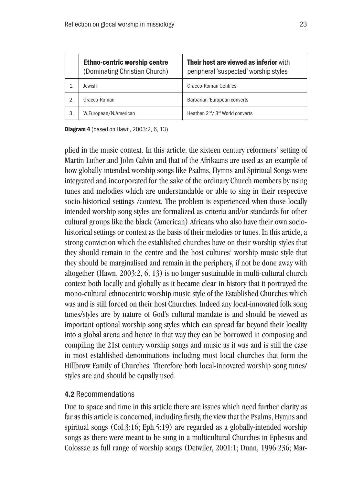|    | <b>Ethno-centric worship centre</b><br>(Dominating Christian Church) | <b>Their host are viewed as inferior with</b><br>peripheral 'suspected' worship styles |
|----|----------------------------------------------------------------------|----------------------------------------------------------------------------------------|
|    | Jewish                                                               | Graeco-Roman Gentiles                                                                  |
| 2. | Graeco-Roman                                                         | Barbarian 'European converts                                                           |
| 3. | W.European/N.American                                                | Heathen 2 <sup>nd</sup> /3 <sup>rd</sup> World converts                                |

Diagram 4 (based on Hawn, 2003:2, 6, 13)

plied in the music context. In this article, the sixteen century reformers' setting of Martin Luther and John Calvin and that of the Afrikaans are used as an example of how globally-intended worship songs like Psalms, Hymns and Spiritual Songs were integrated and incorporated for the sake of the ordinary Church members by using tunes and melodies which are understandable or able to sing in their respective socio-historical settings /context. The problem is experienced when those locally intended worship song styles are formalized as criteria and/or standards for other cultural groups like the black (American) Africans who also have their own sociohistorical settings or context as the basis of their melodies or tunes. In this article, a strong conviction which the established churches have on their worship styles that they should remain in the centre and the host cultures' worship music style that they should be marginalised and remain in the periphery, if not be done away with altogether (Hawn, 2003:2, 6, 13) is no longer sustainable in multi-cultural church context both locally and globally as it became clear in history that it portrayed the mono-cultural ethnocentric worship music style of the Established Churches which was and is still forced on their host Churches. Indeed any local-innovated folk song tunes/styles are by nature of God's cultural mandate is and should be viewed as important optional worship song styles which can spread far beyond their locality into a global arena and hence in that way they can be borrowed in composing and compiling the 21st century worship songs and music as it was and is still the case in most established denominations including most local churches that form the Hillbrow Family of Churches. Therefore both local-innovated worship song tunes/ styles are and should be equally used.

### 4.2 Recommendations

Due to space and time in this article there are issues which need further clarity as far as this article is concerned, including firstly, the view that the Psalms, Hymns and spiritual songs (Col.3:16; Eph.5:19) are regarded as a globally-intended worship songs as there were meant to be sung in a multicultural Churches in Ephesus and Colossae as full range of worship songs (Detwiler, 2001:1; Dunn, 1996:236; Mar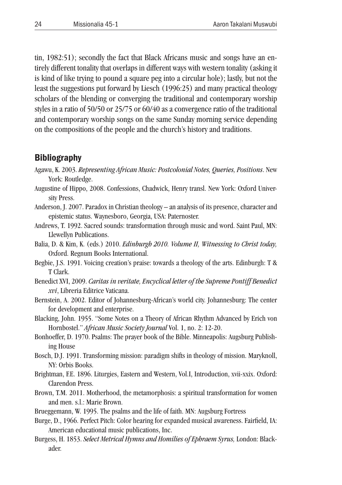tin, 1982:51); secondly the fact that Black Africans music and songs have an entirely different tonality that overlaps in different ways with western tonality (asking it is kind of like trying to pound a square peg into a circular hole); lastly, but not the least the suggestions put forward by Liesch (1996:25) and many practical theology scholars of the blending or converging the traditional and contemporary worship styles in a ratio of 50/50 or 25/75 or 60/40 as a convergence ratio of the traditional and contemporary worship songs on the same Sunday morning service depending on the compositions of the people and the church's history and traditions.

# **Bibliography**

- Agawu, K. 2003. *Representing African Music: Postcolonial Notes, Queries, Positions*. New York: Routledge.
- Augustine of Hippo, 2008. Confessions, Chadwick, Henry transl. New York: Oxford University Press.
- Anderson, J. 2007. Paradox in Christian theology an analysis of its presence, character and epistemic status. Waynesboro, Georgia, USA: Paternoster.
- Andrews, T. 1992. Sacred sounds: transformation through music and word. Saint Paul, MN: Llewellyn Publications.
- Balia, D. & Kim, K. (eds.) 2010. *Edinburgh 2010. Volume II, Witnessing to Christ today,*  Oxford. Regnum Books International.
- Begbie, J.S. 1991. Voicing creation's praise: towards a theology of the arts. Edinburgh: T & T Clark.
- Benedict XVI, 2009. *Caritas in veritate, Encyclical letter of the Supreme Pontiff Benedict xvi*, Libreria Editrice Vaticana.
- Bernstein, A. 2002. Editor of Johannesburg-African's world city. Johannesburg: The center for development and enterprise.
- Blacking, John. 1955. "Some Notes on a Theory of African Rhythm Advanced by Erich von Hornbostel." *African Music Society Journal* Vol. 1, no. 2: 12-20.
- Bonhoeffer, D. 1970. Psalms: The prayer book of the Bible. Minneapolis: Augsburg Publishing House
- Bosch, D.J. 1991. Transforming mission: paradigm shifts in theology of mission. Maryknoll, NY: Orbis Books.
- Brightman, F.E. 1896. Liturgies, Eastern and Western, Vol.I, Introduction, xvii-xxix. Oxford: Clarendon Press.
- Brown, T.M. 2011. Motherhood, the metamorphosis: a spiritual transformation for women and men. s.l.: Marie Brown.
- Brueggemann, W. 1995. The psalms and the life of faith. MN: Augsburg Fortress
- Burge, D., 1966. Perfect Pitch: Color hearing for expanded musical awareness. Fairfield, IA: American educational music publications, Inc.
- Burgess, H. 1853. *Select Metrical Hymns and Homilies of Ephraem Syrus,* London: Blackader.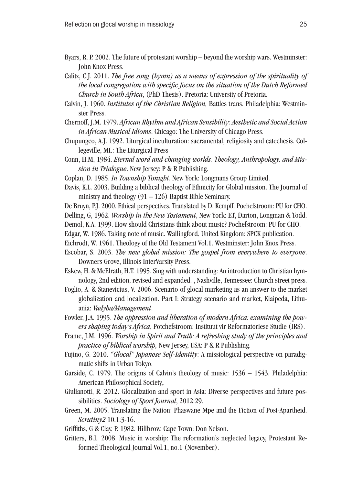- Byars, R. P. 2002. The future of protestant worship beyond the worship wars. Westminster: John Knox Press.
- Calitz, C.J. 2011. *The free song (hymn) as a means of expression of the spirituality of the local congregation with specific focus on the situation of the Dutch Reformed Church in South Africa*, (PhD.Thesis). Pretoria: University of Pretoria.
- Calvin, J. 1960. *Institutes of the Christian Religion,* Battles trans. Philadelphia: Westminster Press.
- Chernoff, J.M. 1979. *African Rhythm and African Sensibility: Aesthetic and Social Action in African Musical Idioms*. Chicago: The University of Chicago Press.
- Chupungco, A.J. 1992. Liturgical inculturation: sacramental, religiosity and catechesis. Collegeville, MI.: The Liturgical Press
- Conn, H.M, 1984. *Eternal word and changing worlds. Theology, Anthropology, and Mission in Trialogue*. New Jersey: P & R Publishing.
- Coplan, D. 1985. *In Township Tonight*. New York: Longmans Group Limited.
- Davis, K.L. 2003. Building a biblical theology of Ethnicity for Global mission. The Journal of ministry and theology  $(91 – 126)$  Baptist Bible Seminary.
- De Bruyn, P.J. 2000. Ethical perspectives. Translated by D. Kempff. Pochefstroom: PU for CHO.
- Delling, G, 1962. *Worship in the New Testament*, New York: ET, Darton, Longman & Todd.
- Demol, K.A. 1999. How should Christians think about music? Pochefstroom: PU for CHO.
- Edgar, W. 1986. Taking note of music. Wallingford, United Kingdom: SPCK publication.
- Eichrodt, W. 1961. Theology of the Old Testament Vol.1. Westminster: John Knox Press.
- Escobar, S. 2003. *The new global mission: The gospel from everywhere to everyone*. Downers Grove, Illinois InterVarsity Press.
- Eskew, H. & McElrath, H.T. 1995. Sing with understanding: An introduction to Christian hymnology, 2nd edition, revised and expanded. , Nashville, Tennessee: Church street press.
- Foglio, A. & Stanevicius, V. 2006. Scenario of glocal marketing as an answer to the market globalization and localization. Part I: Strategy scenario and market, Klaipeda, Lithuania: *Vadyba/Management*.
- Fowler, J.A. 1995. *The oppression and liberation of modern Africa: examining the powers shaping today's Africa*, Potchefstroom: Instituut vir Reformatoriese Studie (IRS).
- Frame, J.M. 1996. *Worship in Spirit and Truth: A refreshing study of the principles and practice of biblical worship,* New Jersey, USA: P & R Publishing.
- Fujino, G. 2010. *"Glocal" Japanese Self-Identity*: A missiological perspective on paradigmatic shifts in Urban Tokyo.
- Garside, C. 1979. The origins of Calvin's theology of music: 1536 1543. Philadelphia: American Philosophical Society,.
- Giulianotti, R. 2012. Glocalization and sport in Asia: Diverse perspectives and future possibilities. *Sociology of Sport Journal*, 2012:29.
- Green, M. 2005. Translating the Nation: Phaswane Mpe and the Fiction of Post-Apartheid. *Scrutiny2* 10.1:3-16.
- Griffiths, G & Clay, P. 1982. Hillbrow. Cape Town: Don Nelson.
- Gritters, B.L. 2008. Music in worship: The reformation's neglected legacy, Protestant Reformed Theological Journal Vol.1, no.1 (November).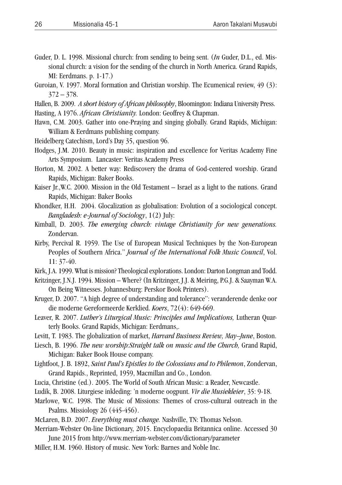- Guder, D. L. 1998. Missional church: from sending to being sent. (*In* Guder, D.L., ed. Missional church: a vision for the sending of the church in North America. Grand Rapids, MI: Eerdmans. p. 1-17.)
- Guroian, V. 1997. Moral formation and Christian worship. The Ecumenical review, 49 (3):  $372 - 378.$
- Hallen, B. 2009. *A short history of African philosophy*, Bloomington: Indiana University Press. Hasting, A 1976. *African Christianity.* London: Geoffrey & Chapman.
- Hawn, C.M. 2003. Gather into one-Praying and singing globally. Grand Rapids, Michigan: William & Eerdmans publishing company.
- Heidelberg Catechism, Lord's Day 35, question 96.
- Hodges, J.M. 2010. Beauty in music: inspiration and excellence for Veritas Academy Fine Arts Symposium. Lancaster: Veritas Academy Press
- Horton, M. 2002. A better way: Rediscovery the drama of God-centered worship. Grand Rapids, Michigan: Baker Books.
- Kaiser Jr., W.C. 2000. Mission in the Old Testament Israel as a light to the nations. Grand Rapids, Michigan: Baker Books
- Khondker, H.H. 2004. Glocalization as globalisation: Evolution of a sociological concept. *Bangladesh: e-Journal of Sociology*, 1(2) July:
- Kimball, D. 2003. *The emerging church: vintage Christianity for new generations.*  Zondervan.
- Kirby, Percival R. 1959. The Use of European Musical Techniques by the Non-European Peoples of Southern Africa." *Journal of the International Folk Music Council*, Vol. 11: 37-40.
- Kirk, J.A. 1999. What is mission? Theological explorations. London: Darton Longman and Todd.
- Kritzinger, J.N.J. 1994. Mission Where? (In Kritzinger, J.J. & Meiring, P.G.J. & Saayman W.A. On Being Witnesses. Johannesburg: Perskor Book Printers).
- Kruger, D. 2007. "A high degree of understanding and tolerance": veranderende denke oor die moderne Gereformeerde Kerklied. *Koers*, 72(4): 649-669.
- Leaver, R. 2007. *Luther's Liturgical Music: Principles and Implications,* Lutheran Quarterly Books. Grand Rapids, Michigan: Eerdmans,.
- Levitt, T. 1983. The globalization of market, *Harvard Business Review, May–June*, Boston.
- Liesch, B. 1996. *The new worship:Straight talk on music and the Church,* Grand Rapid, Michigan: Baker Book House company.
- Lightfoot, J. B. 1892, *Saint Paul's Epistles to the Colossians and to Philemon*, Zondervan, Grand Rapids., Reprinted, 1959, Macmillan and Co., London.
- Lucia, Christine (ed.). 2005. The World of South African Music: a Reader, Newcastle.
- Ludik, B. 2008. Liturgiese inkleding: 'n moderne oogpunt. *Vir die Musiekleier*, 35: 9-18.
- Marlowe, W.C. 1998. The Music of Missions: Themes of cross-cultural outreach in the Psalms. Missiology 26 (445-456).
- McLaren, B.D. 2007. *Everything must change.* Nashville, TN: Thomas Nelson.
- Merriam-Webster On-line Dictionary, 2015. Encyclopaedia Britannica online. Accessed 30
- June 2015 from http://www.merriam-webster.com/dictionary/parameter Miller, H.M. 1960. History of music. New York: Barnes and Noble Inc.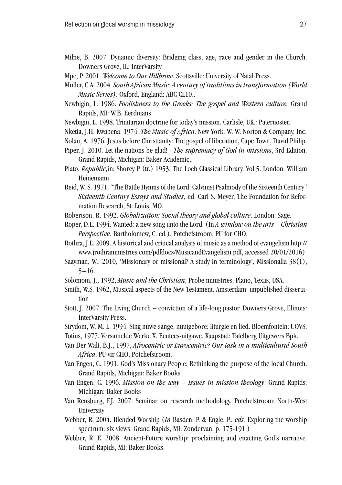- Milne, B. 2007. Dynamic diversity: Bridging class, age, race and gender in the Church. Downers Grove, IL: InterVarsity
- Mpe, P. 2001. *Welcome to Our Hillbrow.* Scottsville: University of Natal Press.
- Muller, C.A. 2004. *South African Music: A century of traditions in transformation (World Music Series).* Oxford, England: ABC CL10,.
- Newbigin, L. 1986. *Foolishness to the Greeks: The gospel and Western culture.* Grand Rapids, MI: W.B. Eerdmans
- Newbigin, L. 1998. Trinitarian doctrine for today's mission. Carlisle, UK.: Paternoster.
- Nketia, J.H. Kwabena. 1974. *The Music of Africa*. New York: W. W. Norton & Company, Inc.
- Nolan, A. 1976. Jesus before Christianity: The gospel of liberation, Cape Town, David Philip.
- Piper, J. 2010. Let the nations be glad! *The supremacy of God in missions*, 3rd Edition. Grand Rapids, Michigan: Baker Academic,.
- Plato, *Republic,*in: Shorey P (tr.) 1953. The Loeb Classical Library. Vol.5. London: William Heinemann.
- Reid, W. S. 1971. "The Battle Hymns of the Lord: Calvinist Psalmody of the Sixteenth Century" *Sixteenth Century Essays and Studies,* ed. Carl S. Meyer, The Foundation for Reformation Research, St. Louis, MO.
- Robertson, R. 1992. *Globalization: Social theory and global culture*. London: Sage.
- Roper, D.L. 1994. Wanted: a new song unto the Lord. (In *A window on the arts Christian Perspective.* Bartholomew, C. ed.). Potchefstroom: PU for CHO.
- Rothra, J.L. 2009. A historical and critical analysis of music as a method of evangelism http:// www.jrothraministries.com/pdfdocs/MusicandEvangelism.pdf, accessed 20/01/2016)
- Saayman, W., 2010, 'Missionary or missional? A study in terminology', Missionalia 38(1), 5−16.
- Solomom, J., 1992, *Music and the Christian*, Probe ministries, Plano, Texas, USA.
- Smith, W.S. 1962, Musical aspects of the New Testament. Amsterdam: unpublished dissertation
- Stott, J. 2007. The Living Church conviction of a life-long pastor. Downers Grove, Illinois: InterVarsity Press.
- Strydom, W. M. L. 1994. Sing nuwe sange, nuutgebore: liturgie en lied. Bloemfontein: UOVS. Totius, 1977. Versamelde Werke X. Eeufees-uitgawe. Kaapstad: Tafelberg Uitgewers Bpk.
- Van Der Walt, B.J., 1997, *Afrocentric or Eurocentric? Our task in a multicultural South Africa*, PU vir CHO, Potchefstroom.
- Van Engen, C. 1991. God's Missionary People: Rethinking the purpose of the local Church. Grand Rapids, Michigan: Baker Books.
- Van Engen, C. 1996. *Mission on the way Issues in mission theology*. Grand Rapids: Michigan: Baker Books
- Van Rensburg, F.J. 2007. Seminar on research methodology. Potchefstroom: North-West **University**
- Webber, R. 2004. Blended Worship (*In* Basden, P. & Engle, P., *eds.* Exploring the worship spectrum: six views. Grand Rapids, MI: Zondervan. p. 175-191.)
- Webber, R. E. 2008. Ancient-Future worship: proclaiming and enacting God's narrative. Grand Rapids, MI: Baker Books.